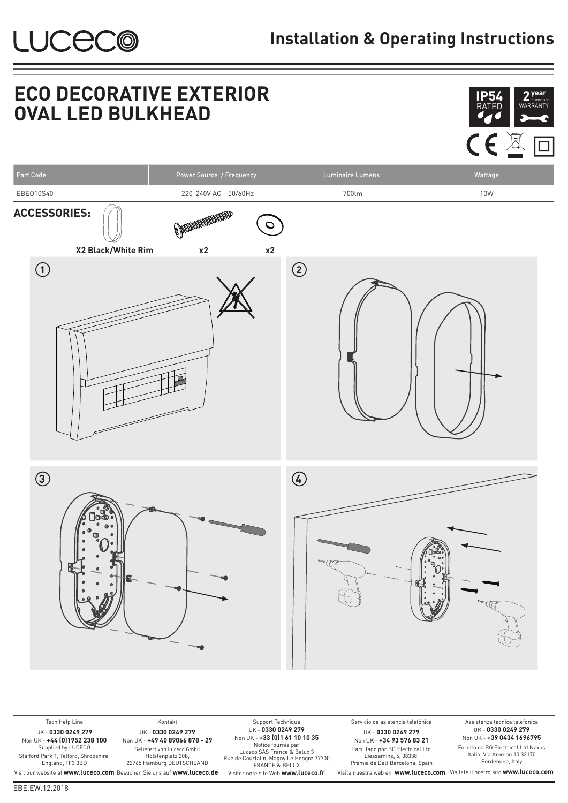

## **Installation & Operating Instructions**

## **ECO DECORATIVE EXTERIOR year IP54 2** standard **OVAL LED BULKHEAD** RATED WARRANTY Part Code **Power Source / Frequency Power Source / Frequency Power Luminaire Lumens Power Source / Frequency Power Source / Frequency Power Luminaire Lumens Power Source / Frequency Power Source / Frequency Power Luminaire** EBEO10S40 220-240V AC - 50/60Hz 700lm 10W **SAMMANAMAN ACCESSORIES:**  $\circ$ **X2 Black/White Rim x2 x21 2 3 4**

Tech Help Line UK - **0330 0249 279** Non UK - **+44 (0)1952 238 100** Supplied by LUCECO Stafford Park 1, Telford, Shropshire, England, TF3 3BD Visit our website at **www.luceco.com** Besuchen Sie uns auf **www.luceco.de** Kontakt UK - **0330 0249 279** Non UK - **+49 40 89066 878 - 29** Geliefert von Luceco GmbH Holstenplatz 20b, 22765 Hamburg DEUTSCHLAND Support Technique UK - **0330 0249 279** Non UK - **+33 (0)1 61 10 10 35** Notice fournie par Luceco SAS France & Belux 3 Rue de Courtalin, Magny Le Hongre 77700 FRANCE & BELUX Visitez note site Web **www.luceco.fr** Servicio de asistencia telefónica UK - **0330 0249 279** Non UK - **+34 93 576 83 21** Facilitado por BG Electrical Ltd Liessamins, 6, 08338, Premia de Dalt Barcelona, Spain Visite nuestra web en **www.luceco.com** Visitate il nostro sito **www.luceco.com** Assistenza tecnica telefonica UK - **0330 0249 279** Non UK - **+39 0434 1696795** Fornito da BG Electrical Ltd Nexus Italia, Via Amman 10 33170 Pordenone, Italy

EBE.EW.12.2018